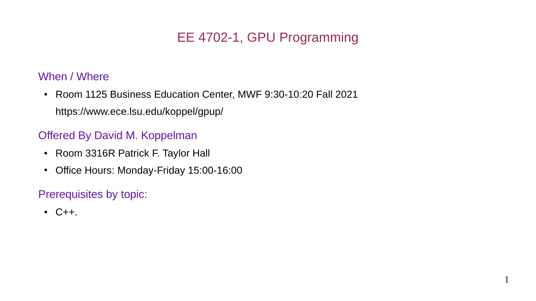# EE 4702-1, GPU Programming

#### When / Where

• Room 1125 Business Education Center, MWF 9:30-10:20 Fall 2021 https://www.ece.lsu.edu/koppel/gpup/

#### Offered By David M. Koppelman

- Room 3316R Patrick F. Taylor Hall
- Office Hours: Monday-Friday 15:00-16:00

### Prerequisites by topic:

 $\cdot$  C++.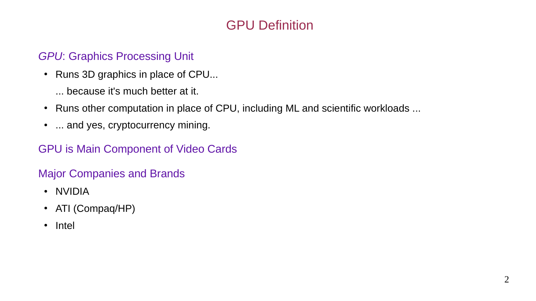# GPU Definition

### *GPU*: Graphics Processing Unit

• Runs 3D graphics in place of CPU...

... because it's much better at it.

- Runs other computation in place of CPU, including ML and scientific workloads ...
- ... and yes, cryptocurrency mining.

### GPU is Main Component of Video Cards

### Major Companies and Brands

- NVIDIA
- ATI (Compaq/HP)
- Intel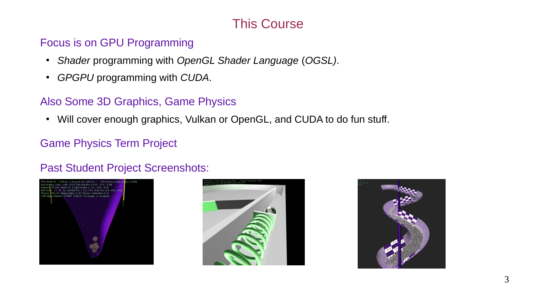# This Course

#### Focus is on GPU Programming

- *Shader* programming with *OpenGL Shader Language* (*OGSL)*.
- *GPGPU* programming with *CUDA*.

## Also Some 3D Graphics, Game Physics

• Will cover enough graphics, Vulkan or OpenGL, and CUDA to do fun stuff.

## Game Physics Term Project

### Past Student Project Screenshots:





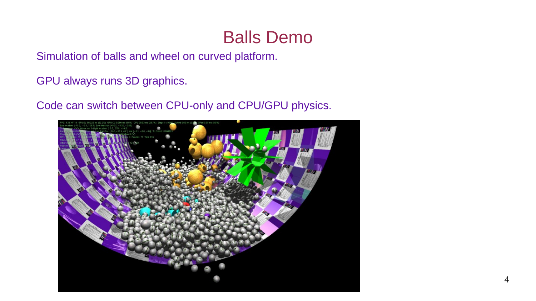# Balls Demo

Simulation of balls and wheel on curved platform.

GPU always runs 3D graphics.

Code can switch between CPU-only and CPU/GPU physics.

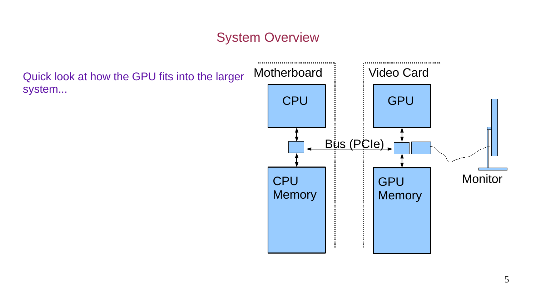# System Overview

Quick look at how the GPU fits into the larger system...

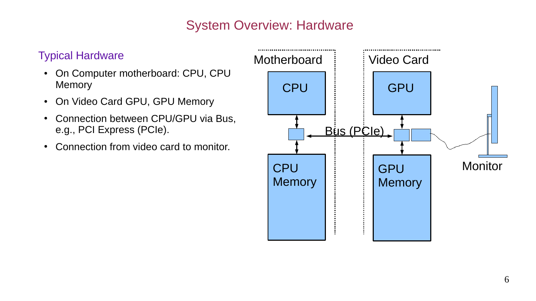# System Overview: Hardware

#### Typical Hardware

- On Computer motherboard: CPU, CPU Memory
- On Video Card GPU, GPU Memory
- Connection between CPU/GPU via Bus, e.g., PCI Express (PCIe).
- Connection from video card to monitor.

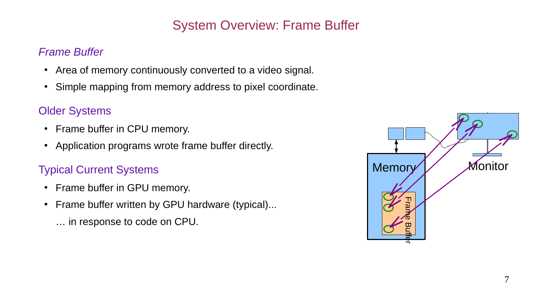# System Overview: Frame Buffer

#### *Frame Buffer*

- Area of memory continuously converted to a video signal.
- Simple mapping from memory address to pixel coordinate.

### Older Systems

- Frame buffer in CPU memory.
- Application programs wrote frame buffer directly.

### Typical Current Systems

- Frame buffer in GPU memory.
- Frame buffer written by GPU hardware (typical)...
	- … in response to code on CPU.

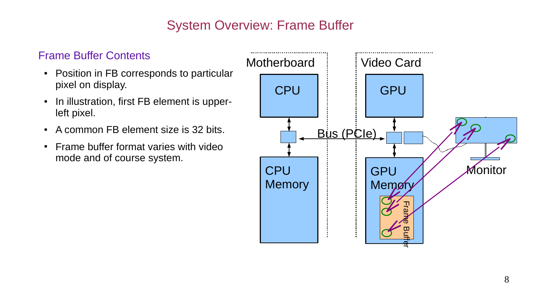# System Overview: Frame Buffer

#### Frame Buffer Contents

- Position in FB corresponds to particular pixel on display.
- In illustration, first FB element is upperleft pixel.
- A common FB element size is 32 bits.
- Frame buffer format varies with video mode and of course system.

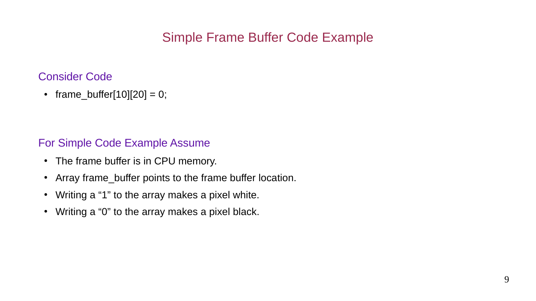# Simple Frame Buffer Code Example

#### Consider Code

• frame buffer[10][20] = 0;

#### For Simple Code Example Assume

- The frame buffer is in CPU memory.
- Array frame buffer points to the frame buffer location.
- Writing a "1" to the array makes a pixel white.
- Writing a "0" to the array makes a pixel black.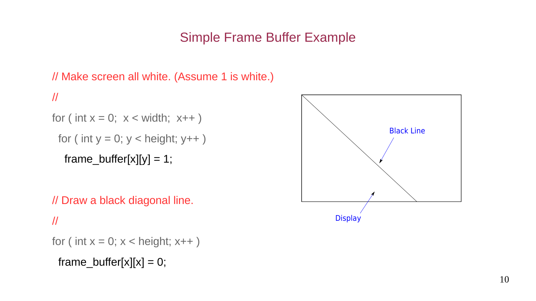# Simple Frame Buffer Example

# // Make screen all white. (Assume 1 is white.) //

```
for ( int x = 0; x < width; x++ )
```

```
for ( int y = 0; y < height; y++ )
```

```
frame_buffer[x][y] = 1;
```
 // Draw a black diagonal line. //

```
for ( int x = 0; x < height; x++ )
```
frame buffer[x][x] = 0;

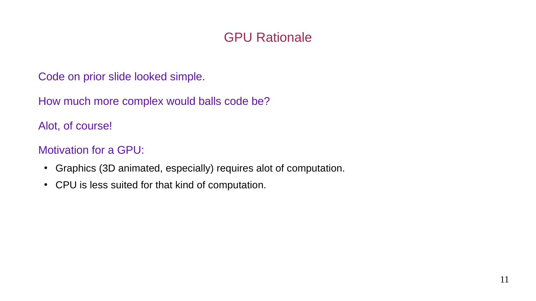# GPU Rationale

Code on prior slide looked simple.

How much more complex would balls code be?

Alot, of course!

Motivation for a GPU:

- Graphics (3D animated, especially) requires alot of computation.
- CPU is less suited for that kind of computation.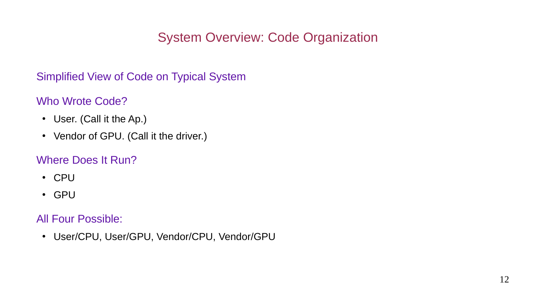# System Overview: Code Organization

Simplified View of Code on Typical System

#### Who Wrote Code?

- User. (Call it the Ap.)
- Vendor of GPU. (Call it the driver.)

#### Where Does It Run?

- CPU
- GPU

### All Four Possible:

• User/CPU, User/GPU, Vendor/CPU, Vendor/GPU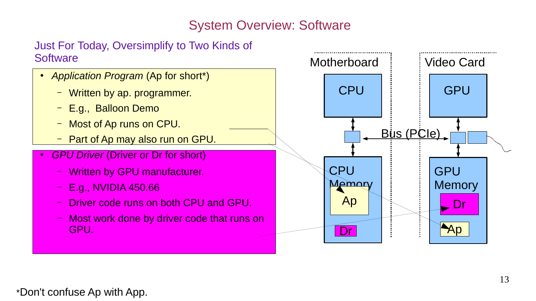# System Overview: Software

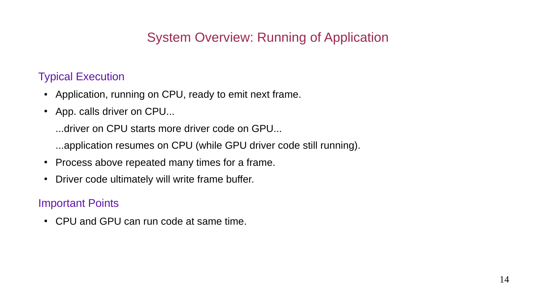# System Overview: Running of Application

### Typical Execution

- Application, running on CPU, ready to emit next frame.
- App. calls driver on CPU...
	- ...driver on CPU starts more driver code on GPU...
	- ...application resumes on CPU (while GPU driver code still running).
- Process above repeated many times for a frame.
- Driver code ultimately will write frame buffer.

#### Important Points

• CPU and GPU can run code at same time.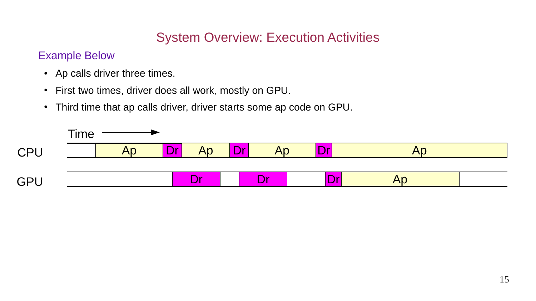# System Overview: Execution Activities

#### Example Below

- Ap calls driver three times.
- First two times, driver does all work, mostly on GPU.
- Third time that ap calls driver, driver starts some ap code on GPU.

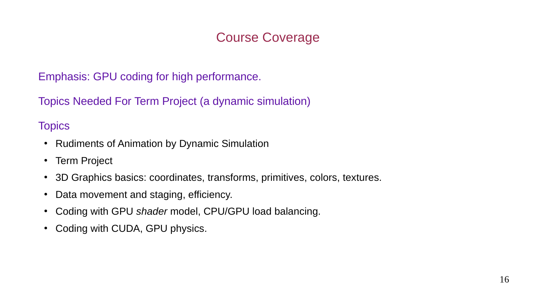# Course Coverage

Emphasis: GPU coding for high performance.

Topics Needed For Term Project (a dynamic simulation)

#### **Topics**

- Rudiments of Animation by Dynamic Simulation
- Term Project
- 3D Graphics basics: coordinates, transforms, primitives, colors, textures.
- Data movement and staging, efficiency.
- Coding with GPU *shader* model, CPU/GPU load balancing.
- Coding with CUDA, GPU physics.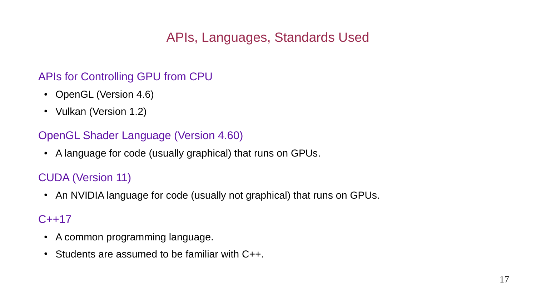# APIs, Languages, Standards Used

### APIs for Controlling GPU from CPU

- OpenGL (Version 4.6)
- Vulkan (Version 1.2)

### OpenGL Shader Language (Version 4.60)

• A language for code (usually graphical) that runs on GPUs.

# CUDA (Version 11)

• An NVIDIA language for code (usually not graphical) that runs on GPUs.

### C++17

- A common programming language.
- $\cdot$  Students are assumed to be familiar with C++.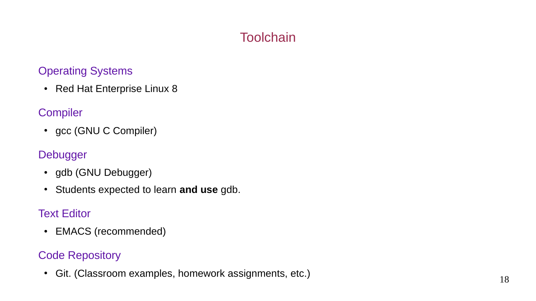# **Toolchain**

#### Operating Systems

• Red Hat Enterprise Linux 8

### **Compiler**

• gcc (GNU C Compiler)

### Debugger

- gdb (GNU Debugger)
- Students expected to learn **and use** gdb.

### Text Editor

• EMACS (recommended)

## Code Repository

• Git. (Classroom examples, homework assignments, etc.)